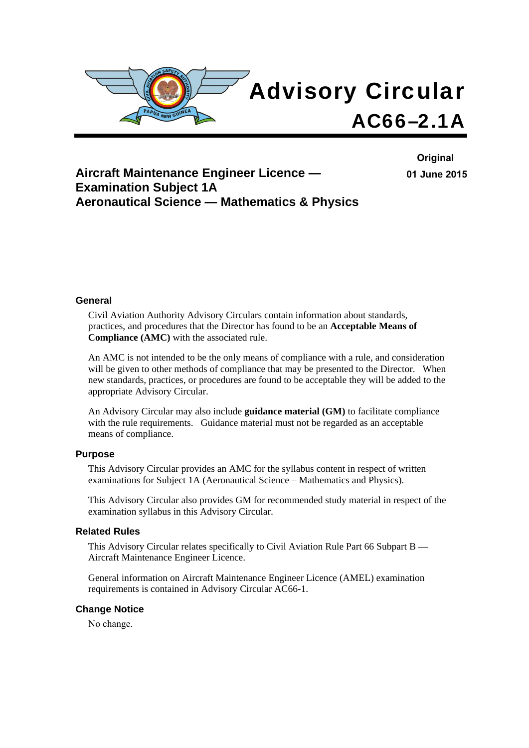

### **Aircraft Maintenance Engineer Licence — Examination Subject 1A Aeronautical Science — Mathematics & Physics**

**Original 01 June 2015**

#### **General**

Civil Aviation Authority Advisory Circulars contain information about standards, practices, and procedures that the Director has found to be an **Acceptable Means of Compliance (AMC)** with the associated rule.

An AMC is not intended to be the only means of compliance with a rule, and consideration will be given to other methods of compliance that may be presented to the Director. When new standards, practices, or procedures are found to be acceptable they will be added to the appropriate Advisory Circular.

An Advisory Circular may also include **guidance material (GM)** to facilitate compliance with the rule requirements. Guidance material must not be regarded as an acceptable means of compliance.

#### **Purpose**

This Advisory Circular provides an AMC for the syllabus content in respect of written examinations for Subject 1A (Aeronautical Science – Mathematics and Physics).

This Advisory Circular also provides GM for recommended study material in respect of the examination syllabus in this Advisory Circular.

#### **Related Rules**

This Advisory Circular relates specifically to Civil Aviation Rule Part 66 Subpart B — Aircraft Maintenance Engineer Licence.

General information on Aircraft Maintenance Engineer Licence (AMEL) examination requirements is contained in Advisory Circular AC66-1.

#### **Change Notice**

No change.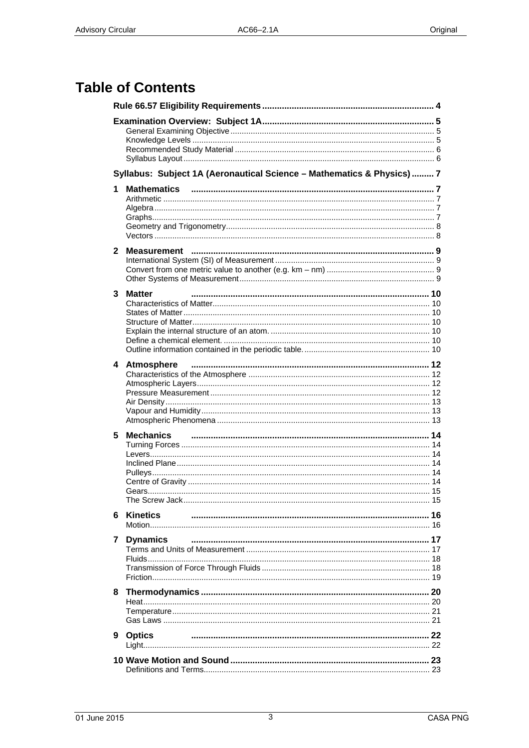# **Table of Contents**

|   | Syllabus: Subject 1A (Aeronautical Science - Mathematics & Physics)  7 |     |
|---|------------------------------------------------------------------------|-----|
| 1 | <b>Mathematics</b>                                                     |     |
| 2 | <b>Measurement</b>                                                     |     |
| 3 | <b>Matter</b>                                                          |     |
|   | 4 Atmosphere                                                           |     |
| 5 | <b>Mechanics</b>                                                       |     |
| 6 | <b>Kinetics</b>                                                        |     |
| 7 | <b>Dynamics</b>                                                        |     |
| 8 |                                                                        | -20 |
| 9 | <b>Optics</b>                                                          |     |
|   |                                                                        |     |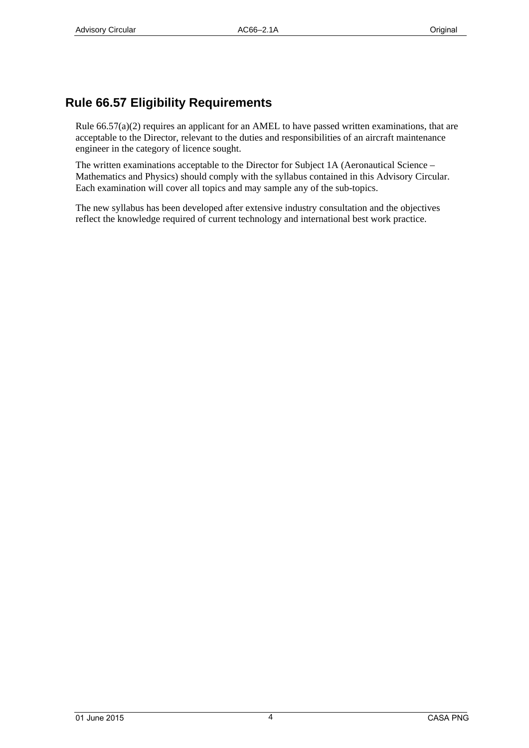## <span id="page-3-0"></span>**Rule 66.57 Eligibility Requirements**

Rule  $66.57(a)(2)$  requires an applicant for an AMEL to have passed written examinations, that are acceptable to the Director, relevant to the duties and responsibilities of an aircraft maintenance engineer in the category of licence sought.

The written examinations acceptable to the Director for Subject 1A (Aeronautical Science – Mathematics and Physics) should comply with the syllabus contained in this Advisory Circular. Each examination will cover all topics and may sample any of the sub-topics.

The new syllabus has been developed after extensive industry consultation and the objectives reflect the knowledge required of current technology and international best work practice.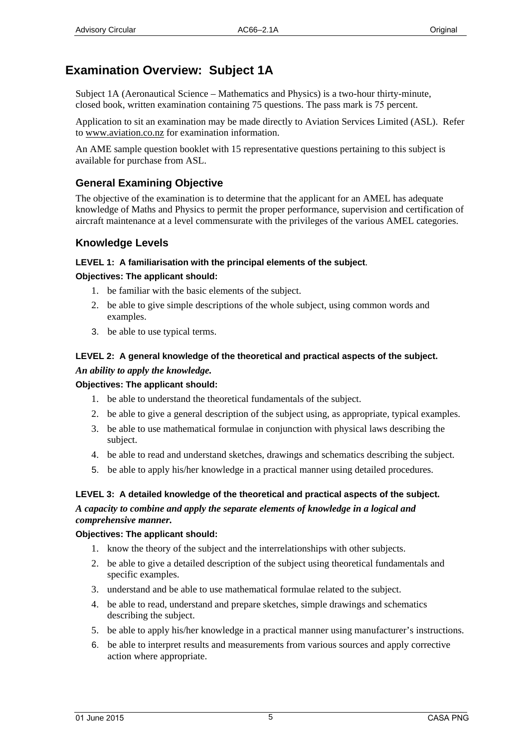## <span id="page-4-0"></span>**Examination Overview: Subject 1A**

Subject 1A (Aeronautical Science – Mathematics and Physics) is a two-hour thirty-minute, closed book, written examination containing 75 questions. The pass mark is 75 percent.

Application to sit an examination may be made directly to Aviation Services Limited (ASL). Refer to [www.aviation.co.nz](http://www.aviation.co.nz/) for examination information.

An AME sample question booklet with 15 representative questions pertaining to this subject is available for purchase from ASL.

### **General Examining Objective**

The objective of the examination is to determine that the applicant for an AMEL has adequate knowledge of Maths and Physics to permit the proper performance, supervision and certification of aircraft maintenance at a level commensurate with the privileges of the various AMEL categories.

#### **Knowledge Levels**

#### **LEVEL 1: A familiarisation with the principal elements of the subject***.*

#### **Objectives: The applicant should:**

- 1. be familiar with the basic elements of the subject.
- 2. be able to give simple descriptions of the whole subject, using common words and examples.
- 3. be able to use typical terms.

#### **LEVEL 2: A general knowledge of the theoretical and practical aspects of the subject.**  *An ability to apply the knowledge.*

#### **Objectives: The applicant should:**

- 1. be able to understand the theoretical fundamentals of the subject.
- 2. be able to give a general description of the subject using, as appropriate, typical examples.
- 3. be able to use mathematical formulae in conjunction with physical laws describing the subject.
- 4. be able to read and understand sketches, drawings and schematics describing the subject.
- 5. be able to apply his/her knowledge in a practical manner using detailed procedures.

#### **LEVEL 3: A detailed knowledge of the theoretical and practical aspects of the subject.**  *A capacity to combine and apply the separate elements of knowledge in a logical and comprehensive manner.*

#### **Objectives: The applicant should:**

- 1. know the theory of the subject and the interrelationships with other subjects.
- 2. be able to give a detailed description of the subject using theoretical fundamentals and specific examples.
- 3. understand and be able to use mathematical formulae related to the subject.
- 4. be able to read, understand and prepare sketches, simple drawings and schematics describing the subject.
- 5. be able to apply his/her knowledge in a practical manner using manufacturer's instructions.
- 6. be able to interpret results and measurements from various sources and apply corrective action where appropriate.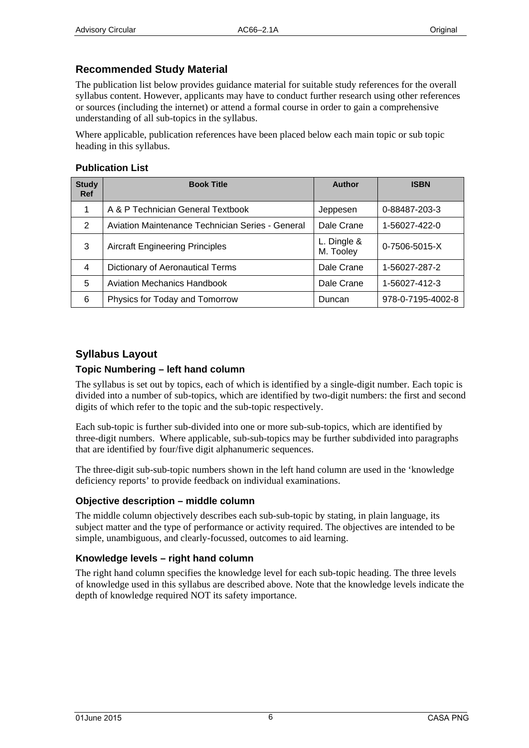### <span id="page-5-0"></span>**Recommended Study Material**

The publication list below provides guidance material for suitable study references for the overall syllabus content. However, applicants may have to conduct further research using other references or sources (including the internet) or attend a formal course in order to gain a comprehensive understanding of all sub-topics in the syllabus.

Where applicable, publication references have been placed below each main topic or sub topic heading in this syllabus.

#### **Publication List**

| <b>Study</b><br><b>Ref</b> | <b>Book Title</b>                                | <b>Author</b>            | <b>ISBN</b>       |
|----------------------------|--------------------------------------------------|--------------------------|-------------------|
| 1                          | A & P Technician General Textbook                | Jeppesen                 | 0-88487-203-3     |
| 2                          | Aviation Maintenance Technician Series - General | Dale Crane               | 1-56027-422-0     |
| 3                          | <b>Aircraft Engineering Principles</b>           | L. Dingle &<br>M. Tooley | 0-7506-5015-X     |
| $\overline{4}$             | <b>Dictionary of Aeronautical Terms</b>          | Dale Crane               | 1-56027-287-2     |
| 5                          | Aviation Mechanics Handbook                      | Dale Crane               | 1-56027-412-3     |
| 6                          | Physics for Today and Tomorrow                   | Duncan                   | 978-0-7195-4002-8 |

#### **Syllabus Layout**

#### **Topic Numbering – left hand column**

The syllabus is set out by topics, each of which is identified by a single-digit number. Each topic is divided into a number of sub-topics, which are identified by two-digit numbers: the first and second digits of which refer to the topic and the sub-topic respectively.

Each sub-topic is further sub-divided into one or more sub-sub-topics, which are identified by three-digit numbers. Where applicable, sub-sub-topics may be further subdivided into paragraphs that are identified by four/five digit alphanumeric sequences.

The three-digit sub-sub-topic numbers shown in the left hand column are used in the 'knowledge deficiency reports' to provide feedback on individual examinations.

#### **Objective description – middle column**

The middle column objectively describes each sub-sub-topic by stating, in plain language, its subject matter and the type of performance or activity required. The objectives are intended to be simple, unambiguous, and clearly-focussed, outcomes to aid learning.

#### **Knowledge levels – right hand column**

The right hand column specifies the knowledge level for each sub-topic heading. The three levels of knowledge used in this syllabus are described above. Note that the knowledge levels indicate the depth of knowledge required NOT its safety importance.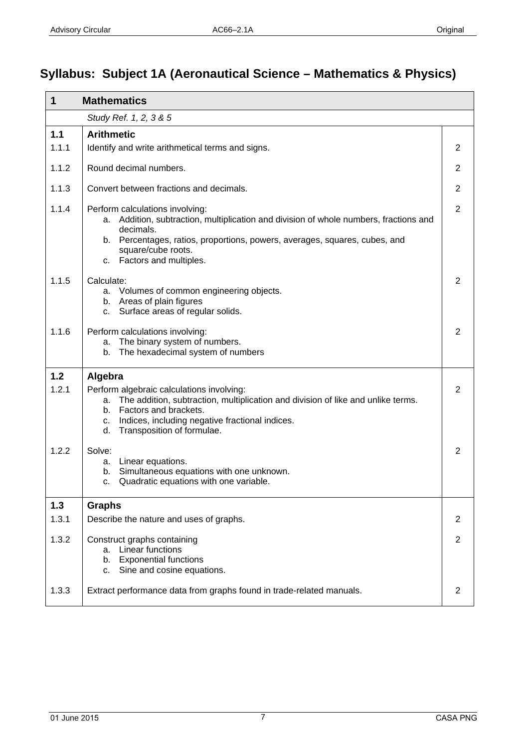## <span id="page-6-0"></span>**Syllabus: Subject 1A (Aeronautical Science – Mathematics & Physics)**

| 1     | <b>Mathematics</b>                                                                                                                                                                                                                                                     |                |
|-------|------------------------------------------------------------------------------------------------------------------------------------------------------------------------------------------------------------------------------------------------------------------------|----------------|
|       | Study Ref. 1, 2, 3 & 5                                                                                                                                                                                                                                                 |                |
| 1.1   | <b>Arithmetic</b>                                                                                                                                                                                                                                                      |                |
| 1.1.1 | Identify and write arithmetical terms and signs.                                                                                                                                                                                                                       | 2              |
| 1.1.2 | Round decimal numbers.                                                                                                                                                                                                                                                 | 2              |
| 1.1.3 | Convert between fractions and decimals.                                                                                                                                                                                                                                | 2              |
| 1.1.4 | Perform calculations involving:<br>a. Addition, subtraction, multiplication and division of whole numbers, fractions and<br>decimals.<br>b. Percentages, ratios, proportions, powers, averages, squares, cubes, and<br>square/cube roots.<br>c. Factors and multiples. | $\overline{2}$ |
| 1.1.5 | Calculate:<br>a. Volumes of common engineering objects.<br>b. Areas of plain figures<br>c. Surface areas of regular solids.                                                                                                                                            | 2              |
| 1.1.6 | Perform calculations involving:<br>The binary system of numbers.<br>a.<br>The hexadecimal system of numbers<br>b.                                                                                                                                                      | 2              |
| 1.2   | Algebra                                                                                                                                                                                                                                                                |                |
| 1.2.1 | Perform algebraic calculations involving:<br>The addition, subtraction, multiplication and division of like and unlike terms.<br>a.<br>b. Factors and brackets.<br>c. Indices, including negative fractional indices.<br>d.<br>Transposition of formulae.              | 2              |
| 1.2.2 | Solve:<br>a. Linear equations.<br>b. Simultaneous equations with one unknown.<br>Quadratic equations with one variable.<br>C.                                                                                                                                          | 2              |
| 1.3   | <b>Graphs</b>                                                                                                                                                                                                                                                          |                |
| 1.3.1 | Describe the nature and uses of graphs.                                                                                                                                                                                                                                | 2              |
| 1.3.2 | Construct graphs containing<br>Linear functions<br>a.<br><b>Exponential functions</b><br>b.<br>Sine and cosine equations.<br>C.                                                                                                                                        | 2              |
| 1.3.3 | Extract performance data from graphs found in trade-related manuals.                                                                                                                                                                                                   | 2              |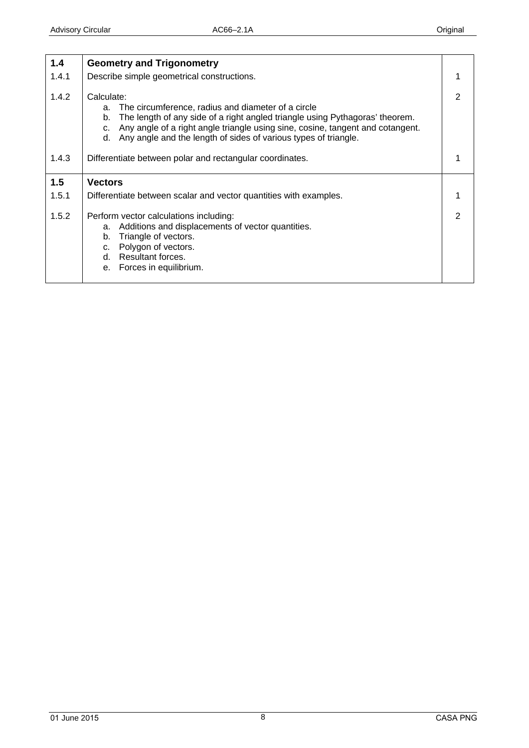<span id="page-7-0"></span>

| 1.4   | <b>Geometry and Trigonometry</b>                                                                                                                                                                                                                                                                                              |   |
|-------|-------------------------------------------------------------------------------------------------------------------------------------------------------------------------------------------------------------------------------------------------------------------------------------------------------------------------------|---|
| 1.4.1 | Describe simple geometrical constructions.                                                                                                                                                                                                                                                                                    |   |
| 1.4.2 | Calculate:<br>The circumference, radius and diameter of a circle<br>a.<br>The length of any side of a right angled triangle using Pythagoras' theorem.<br>b.<br>Any angle of a right angle triangle using sine, cosine, tangent and cotangent.<br>c.<br>Any angle and the length of sides of various types of triangle.<br>d. | 2 |
| 1.4.3 | Differentiate between polar and rectangular coordinates.                                                                                                                                                                                                                                                                      |   |
| 1.5   | <b>Vectors</b>                                                                                                                                                                                                                                                                                                                |   |
| 1.5.1 | Differentiate between scalar and vector quantities with examples.                                                                                                                                                                                                                                                             |   |
| 1.5.2 | Perform vector calculations including:<br>Additions and displacements of vector quantities.<br>a.<br>Triangle of vectors.<br>b.<br>Polygon of vectors.<br>C.<br>d. Resultant forces.<br>Forces in equilibrium.<br>е.                                                                                                          | 2 |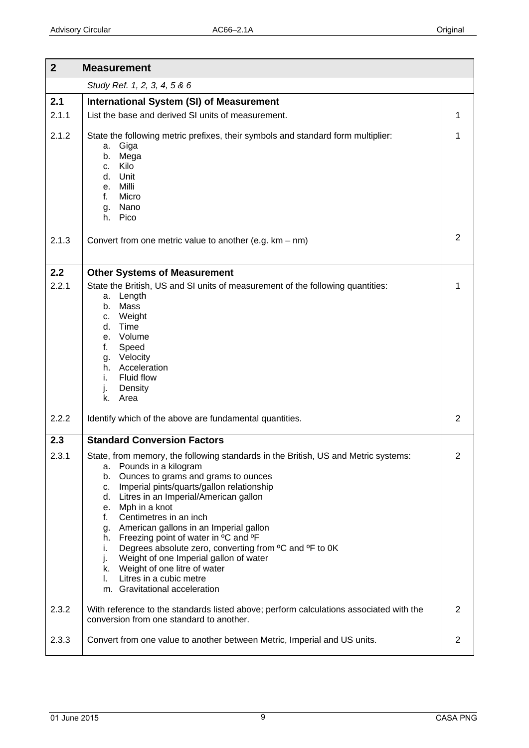<span id="page-8-0"></span>

| $\boldsymbol{2}$ | <b>Measurement</b>                                                                                                                                                                                                                                                                                                                                                                                                                                                                                                                                                                                                                                                                  |                |  |
|------------------|-------------------------------------------------------------------------------------------------------------------------------------------------------------------------------------------------------------------------------------------------------------------------------------------------------------------------------------------------------------------------------------------------------------------------------------------------------------------------------------------------------------------------------------------------------------------------------------------------------------------------------------------------------------------------------------|----------------|--|
|                  | Study Ref. 1, 2, 3, 4, 5 & 6                                                                                                                                                                                                                                                                                                                                                                                                                                                                                                                                                                                                                                                        |                |  |
| 2.1              | <b>International System (SI) of Measurement</b>                                                                                                                                                                                                                                                                                                                                                                                                                                                                                                                                                                                                                                     |                |  |
| 2.1.1            | List the base and derived SI units of measurement.                                                                                                                                                                                                                                                                                                                                                                                                                                                                                                                                                                                                                                  | $\mathbf{1}$   |  |
| 2.1.2            | State the following metric prefixes, their symbols and standard form multiplier:<br>a. Giga<br>Mega<br>b.<br>Kilo<br>C.<br>Unit<br>d.<br>Milli<br>е.<br>Micro<br>f.<br>Nano<br>g.<br>h. Pico                                                                                                                                                                                                                                                                                                                                                                                                                                                                                        | $\mathbf{1}$   |  |
| 2.1.3            | Convert from one metric value to another (e.g. $km - nm$ )                                                                                                                                                                                                                                                                                                                                                                                                                                                                                                                                                                                                                          | 2              |  |
| 2.2              | <b>Other Systems of Measurement</b>                                                                                                                                                                                                                                                                                                                                                                                                                                                                                                                                                                                                                                                 |                |  |
| 2.2.1            | State the British, US and SI units of measurement of the following quantities:<br>a. Length<br>Mass<br>b.<br>Weight<br>C.<br>Time<br>d.<br>e. Volume<br>Speed<br>f.<br>g. Velocity<br>h. Acceleration<br>Fluid flow<br>i.<br>Density<br>j.<br>k. Area                                                                                                                                                                                                                                                                                                                                                                                                                               | 1              |  |
| 2.2.2            | Identify which of the above are fundamental quantities.                                                                                                                                                                                                                                                                                                                                                                                                                                                                                                                                                                                                                             | 2              |  |
| 2.3              | <b>Standard Conversion Factors</b>                                                                                                                                                                                                                                                                                                                                                                                                                                                                                                                                                                                                                                                  |                |  |
| 2.3.1            | State, from memory, the following standards in the British, US and Metric systems:<br>Pounds in a kilogram<br>a.<br>Ounces to grams and grams to ounces<br>b.<br>Imperial pints/quarts/gallon relationship<br>c.<br>d. Litres in an Imperial/American gallon<br>e. Mph in a knot<br>Centimetres in an inch<br>f.<br>American gallons in an Imperial gallon<br>g.<br>h. Freezing point of water in <sup>o</sup> C and <sup>o</sup> F<br>Degrees absolute zero, converting from <sup>o</sup> C and <sup>o</sup> F to 0K<br>i.<br>Weight of one Imperial gallon of water<br>j.<br>Weight of one litre of water<br>k.<br>Litres in a cubic metre<br>I.<br>m. Gravitational acceleration | $\overline{2}$ |  |
| 2.3.2            | With reference to the standards listed above; perform calculations associated with the<br>conversion from one standard to another.                                                                                                                                                                                                                                                                                                                                                                                                                                                                                                                                                  | $\overline{2}$ |  |
| 2.3.3            | Convert from one value to another between Metric, Imperial and US units.                                                                                                                                                                                                                                                                                                                                                                                                                                                                                                                                                                                                            | $\overline{2}$ |  |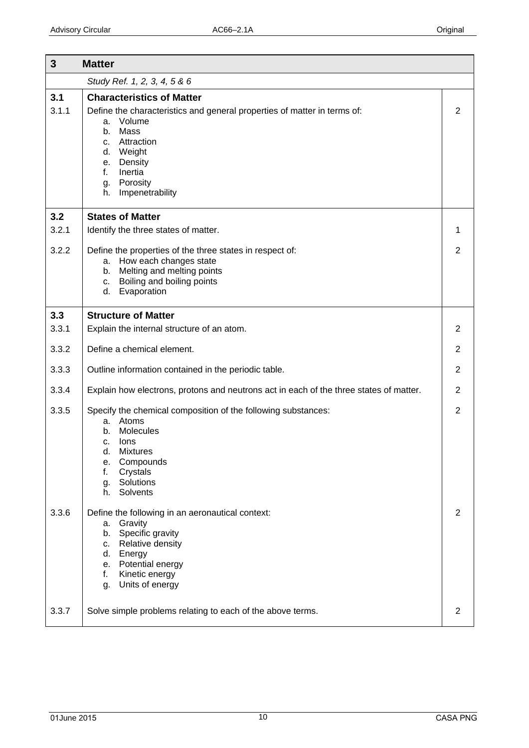<span id="page-9-0"></span>

| 3            | <b>Matter</b>                                                                                                                                                                                                                                           |                |
|--------------|---------------------------------------------------------------------------------------------------------------------------------------------------------------------------------------------------------------------------------------------------------|----------------|
|              | Study Ref. 1, 2, 3, 4, 5 & 6                                                                                                                                                                                                                            |                |
| 3.1<br>3.1.1 | <b>Characteristics of Matter</b><br>Define the characteristics and general properties of matter in terms of:<br>a. Volume<br>Mass<br>$b_{-}$<br>Attraction<br>C.<br>d. Weight<br>Density<br>e.<br>f.<br>Inertia<br>g. Porosity<br>Impenetrability<br>h. | 2              |
| 3.2          | <b>States of Matter</b>                                                                                                                                                                                                                                 |                |
| 3.2.1        | Identify the three states of matter.                                                                                                                                                                                                                    | 1              |
| 3.2.2        | Define the properties of the three states in respect of:<br>a. How each changes state<br>b. Melting and melting points<br>Boiling and boiling points<br>C.<br>Evaporation<br>d.                                                                         | 2              |
| 3.3          | <b>Structure of Matter</b>                                                                                                                                                                                                                              |                |
| 3.3.1        | Explain the internal structure of an atom.                                                                                                                                                                                                              | 2              |
| 3.3.2        | Define a chemical element.                                                                                                                                                                                                                              | $\overline{2}$ |
| 3.3.3        | Outline information contained in the periodic table.                                                                                                                                                                                                    | $\overline{2}$ |
| 3.3.4        | Explain how electrons, protons and neutrons act in each of the three states of matter.                                                                                                                                                                  | $\overline{2}$ |
| 3.3.5        | Specify the chemical composition of the following substances:<br>a. Atoms<br>b. Molecules<br>lons<br>C.<br><b>Mixtures</b><br>d.<br>Compounds<br>е.<br>Crystals<br>f.<br>Solutions<br>g.<br>Solvents<br>h.                                              | $\overline{2}$ |
| 3.3.6        | Define the following in an aeronautical context:<br>Gravity<br>a.<br>Specific gravity<br>b.<br>c. Relative density<br>d. Energy<br>e. Potential energy<br>Kinetic energy<br>f.<br>Units of energy<br>g.                                                 | $\overline{2}$ |
| 3.3.7        | Solve simple problems relating to each of the above terms.                                                                                                                                                                                              | $\overline{2}$ |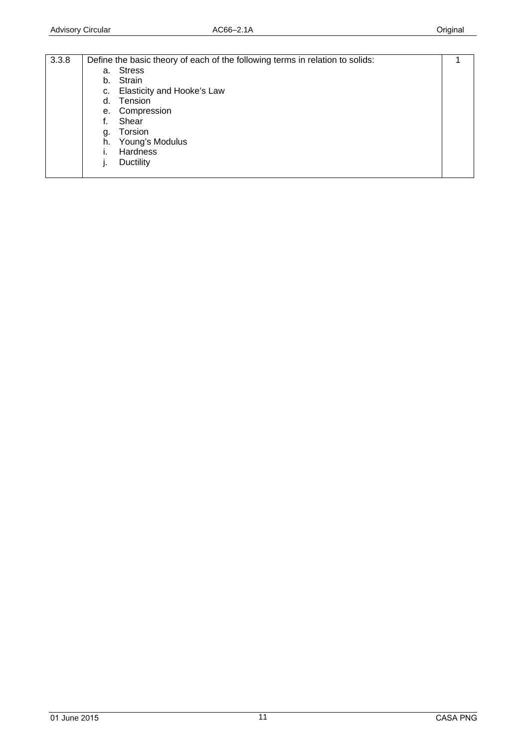| 3.3.8 | Define the basic theory of each of the following terms in relation to solids: |  |
|-------|-------------------------------------------------------------------------------|--|
|       | <b>Stress</b><br>a.                                                           |  |
|       |                                                                               |  |
|       | b. Strain                                                                     |  |
|       | <b>Elasticity and Hooke's Law</b><br>c.                                       |  |
|       | Tension<br>d.                                                                 |  |
|       | Compression<br>е.                                                             |  |
|       | Shear                                                                         |  |
|       | Torsion<br>g.                                                                 |  |
|       | Young's Modulus<br>h.                                                         |  |
|       | <b>Hardness</b>                                                               |  |
|       | Ductility                                                                     |  |
|       |                                                                               |  |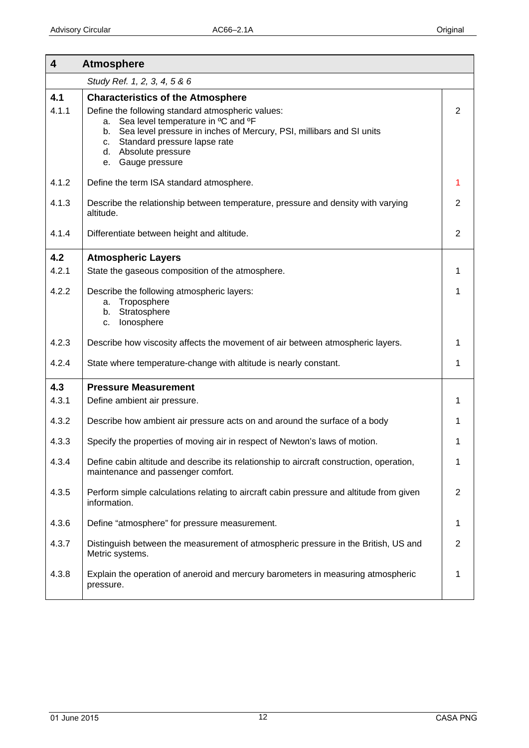<span id="page-11-0"></span>

| $\overline{\mathbf{4}}$ | <b>Atmosphere</b>                                                                                                                                                                                                                                                                                       |                |
|-------------------------|---------------------------------------------------------------------------------------------------------------------------------------------------------------------------------------------------------------------------------------------------------------------------------------------------------|----------------|
|                         | Study Ref. 1, 2, 3, 4, 5 & 6                                                                                                                                                                                                                                                                            |                |
| 4.1<br>4.1.1            | <b>Characteristics of the Atmosphere</b><br>Define the following standard atmospheric values:<br>Sea level temperature in °C and °F<br>a.<br>b. Sea level pressure in inches of Mercury, PSI, millibars and SI units<br>Standard pressure lapse rate<br>C.<br>d. Absolute pressure<br>e. Gauge pressure | $\overline{2}$ |
| 4.1.2                   | Define the term ISA standard atmosphere.                                                                                                                                                                                                                                                                | 1              |
| 4.1.3                   | Describe the relationship between temperature, pressure and density with varying<br>altitude.                                                                                                                                                                                                           | $\overline{2}$ |
| 4.1.4                   | Differentiate between height and altitude.                                                                                                                                                                                                                                                              | $\overline{2}$ |
| 4.2                     | <b>Atmospheric Layers</b>                                                                                                                                                                                                                                                                               |                |
| 4.2.1                   | State the gaseous composition of the atmosphere.                                                                                                                                                                                                                                                        | 1              |
| 4.2.2                   | Describe the following atmospheric layers:<br>Troposphere<br>a.<br>Stratosphere<br>b.<br>lonosphere<br>C.                                                                                                                                                                                               | 1              |
| 4.2.3                   | Describe how viscosity affects the movement of air between atmospheric layers.                                                                                                                                                                                                                          | 1              |
| 4.2.4                   | State where temperature-change with altitude is nearly constant.                                                                                                                                                                                                                                        | 1              |
| 4.3                     | <b>Pressure Measurement</b>                                                                                                                                                                                                                                                                             |                |
| 4.3.1                   | Define ambient air pressure.                                                                                                                                                                                                                                                                            | $\mathbf{1}$   |
| 4.3.2                   | Describe how ambient air pressure acts on and around the surface of a body                                                                                                                                                                                                                              | 1              |
| 4.3.3                   | Specify the properties of moving air in respect of Newton's laws of motion.                                                                                                                                                                                                                             | 1              |
| 4.3.4                   | Define cabin altitude and describe its relationship to aircraft construction, operation,<br>maintenance and passenger comfort.                                                                                                                                                                          | 1              |
| 4.3.5                   | Perform simple calculations relating to aircraft cabin pressure and altitude from given<br>information.                                                                                                                                                                                                 | $\mathbf{2}$   |
| 4.3.6                   | Define "atmosphere" for pressure measurement.                                                                                                                                                                                                                                                           | 1              |
| 4.3.7                   | Distinguish between the measurement of atmospheric pressure in the British, US and<br>Metric systems.                                                                                                                                                                                                   | $\mathbf{2}$   |
| 4.3.8                   | Explain the operation of aneroid and mercury barometers in measuring atmospheric<br>pressure.                                                                                                                                                                                                           | 1              |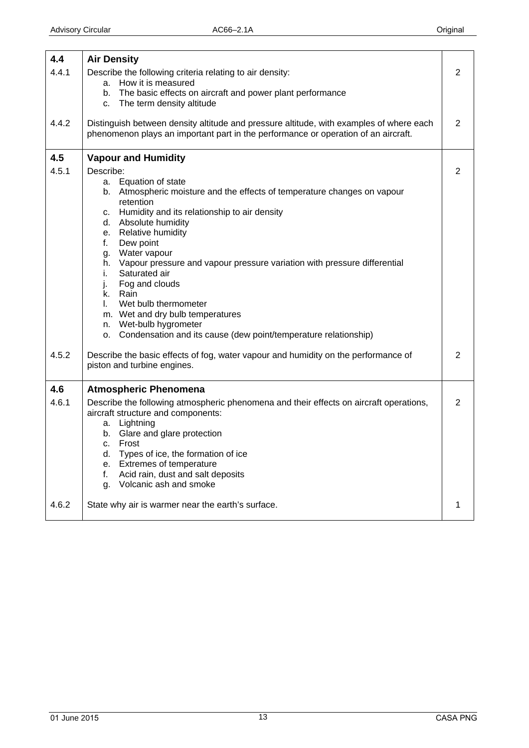<span id="page-12-0"></span>

| 4.4   | <b>Air Density</b>                                                                                                                                                                                                                                                                                                                                                                                                                                                                                                                                                                         |                |
|-------|--------------------------------------------------------------------------------------------------------------------------------------------------------------------------------------------------------------------------------------------------------------------------------------------------------------------------------------------------------------------------------------------------------------------------------------------------------------------------------------------------------------------------------------------------------------------------------------------|----------------|
| 4.4.1 | Describe the following criteria relating to air density:<br>How it is measured<br>а.<br>The basic effects on aircraft and power plant performance<br>b.<br>The term density altitude<br>C.                                                                                                                                                                                                                                                                                                                                                                                                 | 2              |
| 4.4.2 | Distinguish between density altitude and pressure altitude, with examples of where each<br>phenomenon plays an important part in the performance or operation of an aircraft.                                                                                                                                                                                                                                                                                                                                                                                                              | 2              |
| 4.5   | <b>Vapour and Humidity</b>                                                                                                                                                                                                                                                                                                                                                                                                                                                                                                                                                                 |                |
| 4.5.1 | Describe:<br>a. Equation of state<br>b. Atmospheric moisture and the effects of temperature changes on vapour<br>retention<br>c. Humidity and its relationship to air density<br>d. Absolute humidity<br>Relative humidity<br>e.<br>f.<br>Dew point<br>Water vapour<br>g.<br>h. Vapour pressure and vapour pressure variation with pressure differential<br>Saturated air<br>i.<br>j.<br>Fog and clouds<br>Rain<br>k.<br>Wet bulb thermometer<br>L.<br>m. Wet and dry bulb temperatures<br>n. Wet-bulb hygrometer<br>Condensation and its cause (dew point/temperature relationship)<br>0. | 2              |
| 4.5.2 | Describe the basic effects of fog, water vapour and humidity on the performance of<br>piston and turbine engines.                                                                                                                                                                                                                                                                                                                                                                                                                                                                          | 2              |
| 4.6   | <b>Atmospheric Phenomena</b>                                                                                                                                                                                                                                                                                                                                                                                                                                                                                                                                                               |                |
| 4.6.1 | Describe the following atmospheric phenomena and their effects on aircraft operations,<br>aircraft structure and components:<br>Lightning<br>a.<br>b. Glare and glare protection<br>Frost<br>C.<br>Types of ice, the formation of ice<br>d.<br>Extremes of temperature<br>е.<br>Acid rain, dust and salt deposits<br>f.<br>Volcanic ash and smoke<br>g.                                                                                                                                                                                                                                    | $\overline{2}$ |
| 4.6.2 | State why air is warmer near the earth's surface.                                                                                                                                                                                                                                                                                                                                                                                                                                                                                                                                          | 1              |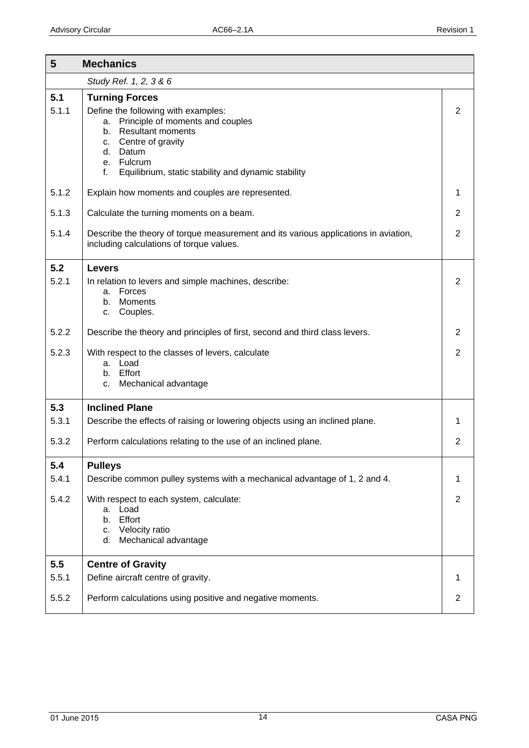<span id="page-13-0"></span>

| 5                     | <b>Mechanics</b>                                                                                                                                                                                                                              |                |
|-----------------------|-----------------------------------------------------------------------------------------------------------------------------------------------------------------------------------------------------------------------------------------------|----------------|
|                       | Study Ref. 1, 2, 3 & 6                                                                                                                                                                                                                        |                |
| 5.1<br>5.1.1          | <b>Turning Forces</b><br>Define the following with examples:<br>Principle of moments and couples<br>a.<br>b. Resultant moments<br>c. Centre of gravity<br>d. Datum<br>e. Fulcrum<br>f.<br>Equilibrium, static stability and dynamic stability | $\overline{2}$ |
| 5.1.2                 | Explain how moments and couples are represented.                                                                                                                                                                                              | 1              |
| 5.1.3                 | Calculate the turning moments on a beam.                                                                                                                                                                                                      | $\overline{2}$ |
| 5.1.4                 | Describe the theory of torque measurement and its various applications in aviation,<br>including calculations of torque values.                                                                                                               | $\overline{2}$ |
| 5.2<br>5.2.1          | <b>Levers</b><br>In relation to levers and simple machines, describe:<br>Forces<br>a.<br>b. Moments<br>c. Couples.                                                                                                                            | 2              |
| 5.2.2                 | Describe the theory and principles of first, second and third class levers.                                                                                                                                                                   | $\overline{2}$ |
| 5.2.3                 | With respect to the classes of levers, calculate<br>a. Load<br>b. Effort<br>Mechanical advantage<br>C.                                                                                                                                        | $\overline{2}$ |
| 5.3                   | <b>Inclined Plane</b>                                                                                                                                                                                                                         |                |
| 5.3.1                 | Describe the effects of raising or lowering objects using an inclined plane.                                                                                                                                                                  | 1              |
| 5.3.2                 | Perform calculations relating to the use of an inclined plane.                                                                                                                                                                                | $\overline{2}$ |
| 5.4<br>5.4.1<br>5.4.2 | <b>Pulleys</b><br>Describe common pulley systems with a mechanical advantage of 1, 2 and 4.<br>With respect to each system, calculate:<br>Load<br>a.<br>Effort<br>b.<br>Velocity ratio<br>C.<br>Mechanical advantage<br>d.                    | 1<br>2         |
| 5.5                   | <b>Centre of Gravity</b>                                                                                                                                                                                                                      |                |
| 5.5.1                 | Define aircraft centre of gravity.                                                                                                                                                                                                            | 1              |
| 5.5.2                 | Perform calculations using positive and negative moments.                                                                                                                                                                                     | $\overline{2}$ |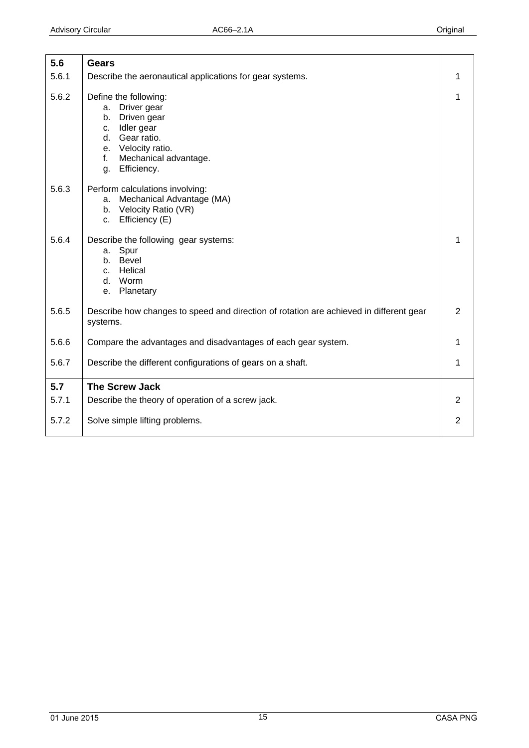<span id="page-14-0"></span>

| 5.6   | <b>Gears</b>                                                                                                                                                                       |                |
|-------|------------------------------------------------------------------------------------------------------------------------------------------------------------------------------------|----------------|
| 5.6.1 | Describe the aeronautical applications for gear systems.                                                                                                                           | 1              |
| 5.6.2 | Define the following:<br>Driver gear<br>a.<br>Driven gear<br>b.<br>Idler gear<br>C.<br>d.<br>Gear ratio.<br>e. Velocity ratio.<br>Mechanical advantage.<br>f.<br>Efficiency.<br>g. |                |
| 5.6.3 | Perform calculations involving:<br>Mechanical Advantage (MA)<br>a.<br>b. Velocity Ratio (VR)<br>Efficiency (E)<br>C.                                                               |                |
| 5.6.4 | Describe the following gear systems:<br>Spur<br>a.<br>b. Bevel<br>c. Helical<br>d. Worm<br>Planetary<br>е.                                                                         |                |
| 5.6.5 | Describe how changes to speed and direction of rotation are achieved in different gear<br>systems.                                                                                 | 2              |
| 5.6.6 | Compare the advantages and disadvantages of each gear system.                                                                                                                      |                |
| 5.6.7 | Describe the different configurations of gears on a shaft.                                                                                                                         | 1              |
| 5.7   | <b>The Screw Jack</b>                                                                                                                                                              |                |
| 5.7.1 | Describe the theory of operation of a screw jack.                                                                                                                                  | $\overline{2}$ |
| 5.7.2 | Solve simple lifting problems.                                                                                                                                                     | $\overline{2}$ |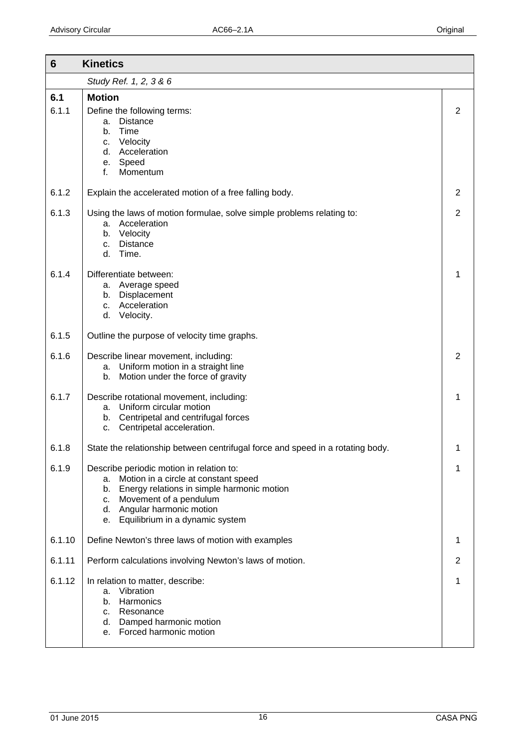<span id="page-15-0"></span>

| $6\phantom{1}6$ | <b>Kinetics</b>                                                                                                                                                                                                                             |                |
|-----------------|---------------------------------------------------------------------------------------------------------------------------------------------------------------------------------------------------------------------------------------------|----------------|
|                 | Study Ref. 1, 2, 3 & 6                                                                                                                                                                                                                      |                |
| 6.1             | <b>Motion</b>                                                                                                                                                                                                                               |                |
| 6.1.1           | Define the following terms:<br>Distance<br>a.<br>Time<br>b.<br>Velocity<br>C.<br>Acceleration<br>d.<br>Speed<br>е.<br>f.<br>Momentum                                                                                                        | 2              |
| 6.1.2           | Explain the accelerated motion of a free falling body.                                                                                                                                                                                      | $\overline{2}$ |
| 6.1.3           | Using the laws of motion formulae, solve simple problems relating to:<br>Acceleration<br>a.<br>Velocity<br>b.<br><b>Distance</b><br>C.<br>Time.<br>d.                                                                                       | 2              |
| 6.1.4           | Differentiate between:<br>Average speed<br>а.<br>Displacement<br>b.<br>c. Acceleration<br>d. Velocity.                                                                                                                                      | 1              |
| 6.1.5           | Outline the purpose of velocity time graphs.                                                                                                                                                                                                |                |
| 6.1.6           | Describe linear movement, including:<br>Uniform motion in a straight line<br>а.<br>Motion under the force of gravity<br>b.                                                                                                                  | 2              |
| 6.1.7           | Describe rotational movement, including:<br>Uniform circular motion<br>a.<br>Centripetal and centrifugal forces<br>b.<br>Centripetal acceleration.<br>C.                                                                                    | 1              |
| 6.1.8           | State the relationship between centrifugal force and speed in a rotating body.                                                                                                                                                              |                |
| 6.1.9           | Describe periodic motion in relation to:<br>Motion in a circle at constant speed<br>а.<br>b. Energy relations in simple harmonic motion<br>Movement of a pendulum<br>C.<br>d. Angular harmonic motion<br>e. Equilibrium in a dynamic system | 1              |
| 6.1.10          | Define Newton's three laws of motion with examples                                                                                                                                                                                          | 1              |
| 6.1.11          | Perform calculations involving Newton's laws of motion.                                                                                                                                                                                     | 2              |
| 6.1.12          | In relation to matter, describe:<br>Vibration<br>a.<br>Harmonics<br>b.<br>c. Resonance<br>d. Damped harmonic motion<br>Forced harmonic motion<br>е.                                                                                         | 1              |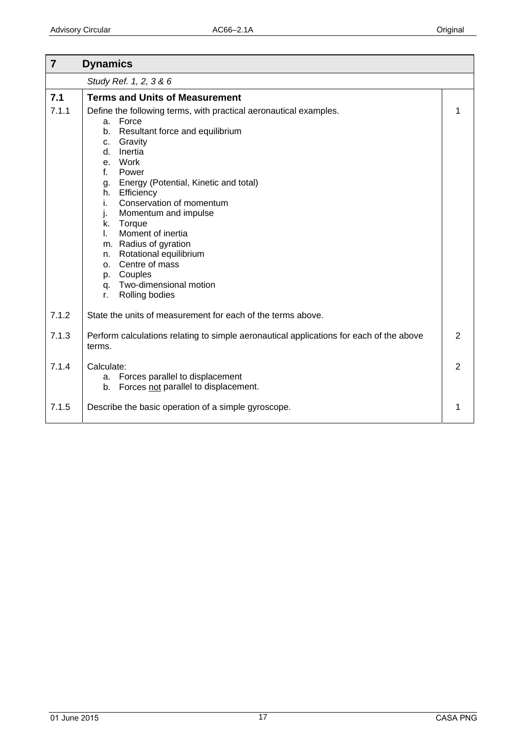<span id="page-16-0"></span>

| $\overline{7}$ | <b>Dynamics</b>                                                                                   |                |
|----------------|---------------------------------------------------------------------------------------------------|----------------|
|                | Study Ref. 1, 2, 3 & 6                                                                            |                |
| 7.1            | <b>Terms and Units of Measurement</b>                                                             |                |
| 7.1.1          | Define the following terms, with practical aeronautical examples.                                 | 1              |
|                | Force<br>a.<br>b.<br>Resultant force and equilibrium                                              |                |
|                | Gravity<br>C.                                                                                     |                |
|                | d.<br>Inertia                                                                                     |                |
|                | Work<br>e.                                                                                        |                |
|                | f.<br>Power                                                                                       |                |
|                | Energy (Potential, Kinetic and total)<br>g.                                                       |                |
|                | h. Efficiency<br>Conservation of momentum<br>i.                                                   |                |
|                | j.<br>Momentum and impulse                                                                        |                |
|                | Torque<br>k.                                                                                      |                |
|                | Moment of inertia<br>I.                                                                           |                |
|                | m. Radius of gyration                                                                             |                |
|                | Rotational equilibrium<br>n.                                                                      |                |
|                | Centre of mass<br>O <sub>1</sub>                                                                  |                |
|                | Couples<br>p.                                                                                     |                |
|                | Two-dimensional motion<br>q.<br>Rolling bodies<br>r.                                              |                |
|                |                                                                                                   |                |
| 7.1.2          | State the units of measurement for each of the terms above.                                       |                |
| 7.1.3          | Perform calculations relating to simple aeronautical applications for each of the above<br>terms. | $\overline{2}$ |
| 7.1.4          | Calculate:                                                                                        | $\overline{2}$ |
|                | Forces parallel to displacement<br>a.                                                             |                |
|                | Forces not parallel to displacement.<br>b.                                                        |                |
|                |                                                                                                   |                |
| 7.1.5          | Describe the basic operation of a simple gyroscope.                                               | 1              |
|                |                                                                                                   |                |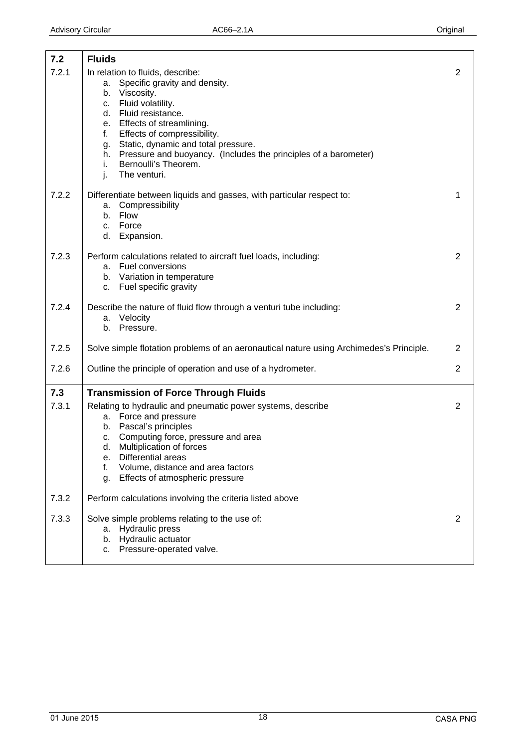<span id="page-17-0"></span>

| 7.2   | <b>Fluids</b>                                                                                  |                |
|-------|------------------------------------------------------------------------------------------------|----------------|
| 7.2.1 | In relation to fluids, describe:                                                               | $\overline{2}$ |
|       | Specific gravity and density.<br>а.                                                            |                |
|       | Viscosity.<br>b.                                                                               |                |
|       | Fluid volatility.<br>C.                                                                        |                |
|       | Fluid resistance.<br>d.                                                                        |                |
|       | Effects of streamlining.<br>е.<br>Effects of compressibility.<br>f.                            |                |
|       | Static, dynamic and total pressure.<br>g.                                                      |                |
|       | h. Pressure and buoyancy. (Includes the principles of a barometer)                             |                |
|       | i.<br>Bernoulli's Theorem.                                                                     |                |
|       | j.<br>The venturi.                                                                             |                |
|       |                                                                                                |                |
| 7.2.2 | Differentiate between liquids and gasses, with particular respect to:<br>Compressibility<br>а. | 1              |
|       | b. Flow                                                                                        |                |
|       | c. Force                                                                                       |                |
|       | d. Expansion.                                                                                  |                |
| 7.2.3 | Perform calculations related to aircraft fuel loads, including:                                | $\overline{2}$ |
|       | <b>Fuel conversions</b><br>а.                                                                  |                |
|       | b. Variation in temperature                                                                    |                |
|       | c. Fuel specific gravity                                                                       |                |
| 7.2.4 | Describe the nature of fluid flow through a venturi tube including:                            | 2              |
|       | Velocity<br>a.                                                                                 |                |
|       | Pressure.<br>b.                                                                                |                |
| 7.2.5 | Solve simple flotation problems of an aeronautical nature using Archimedes's Principle.        | 2              |
|       |                                                                                                |                |
| 7.2.6 | Outline the principle of operation and use of a hydrometer.                                    | $\overline{2}$ |
| 7.3   | <b>Transmission of Force Through Fluids</b>                                                    |                |
| 7.3.1 | Relating to hydraulic and pneumatic power systems, describe                                    | 2              |
|       | Force and pressure<br>a.                                                                       |                |
|       | Pascal's principles<br>b.                                                                      |                |
|       | Computing force, pressure and area<br>C.                                                       |                |
|       | d.<br>Multiplication of forces<br>Differential areas<br>е.                                     |                |
|       | Volume, distance and area factors<br>f.                                                        |                |
|       | Effects of atmospheric pressure<br>g.                                                          |                |
| 7.3.2 | Perform calculations involving the criteria listed above                                       |                |
| 7.3.3 | Solve simple problems relating to the use of:                                                  | 2              |
|       | a. Hydraulic press                                                                             |                |
|       | b. Hydraulic actuator                                                                          |                |
|       | Pressure-operated valve.<br>C.                                                                 |                |
|       |                                                                                                |                |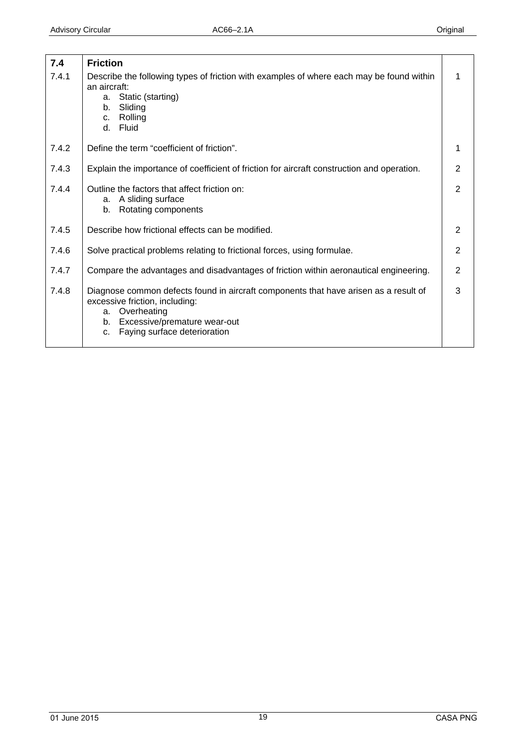<span id="page-18-0"></span>

| 7.4   | <b>Friction</b>                                                                                                                                                                                                         |                |
|-------|-------------------------------------------------------------------------------------------------------------------------------------------------------------------------------------------------------------------------|----------------|
| 7.4.1 | Describe the following types of friction with examples of where each may be found within<br>an aircraft:<br>Static (starting)<br>a.<br>Sliding<br>b.<br>Rolling<br>C.<br>Fluid<br>d.                                    | 1              |
| 7.4.2 | Define the term "coefficient of friction".                                                                                                                                                                              | 1              |
| 7.4.3 | Explain the importance of coefficient of friction for aircraft construction and operation.                                                                                                                              | $\overline{2}$ |
| 7.4.4 | Outline the factors that affect friction on:<br>A sliding surface<br>а.<br>Rotating components<br>b.                                                                                                                    | $\overline{2}$ |
| 7.4.5 | Describe how frictional effects can be modified.                                                                                                                                                                        | 2              |
| 7.4.6 | Solve practical problems relating to frictional forces, using formulae.                                                                                                                                                 | $\overline{2}$ |
| 7.4.7 | Compare the advantages and disadvantages of friction within aeronautical engineering.                                                                                                                                   | $\overline{2}$ |
| 7.4.8 | Diagnose common defects found in aircraft components that have arisen as a result of<br>excessive friction, including:<br>Overheating<br>a.<br>Excessive/premature wear-out<br>b.<br>Faying surface deterioration<br>c. | 3              |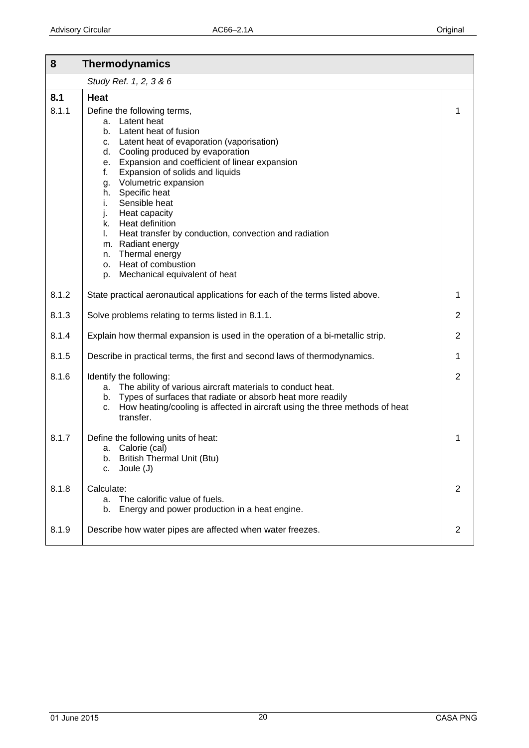<span id="page-19-0"></span>

| 8            | <b>Thermodynamics</b>                                                                                                                                                                                                                                                                                                                                                                                                                                                                                                                                                                  |                |
|--------------|----------------------------------------------------------------------------------------------------------------------------------------------------------------------------------------------------------------------------------------------------------------------------------------------------------------------------------------------------------------------------------------------------------------------------------------------------------------------------------------------------------------------------------------------------------------------------------------|----------------|
|              | Study Ref. 1, 2, 3 & 6                                                                                                                                                                                                                                                                                                                                                                                                                                                                                                                                                                 |                |
| 8.1<br>8.1.1 | <b>Heat</b><br>Define the following terms,<br>a. Latent heat<br>b. Latent heat of fusion<br>c. Latent heat of evaporation (vaporisation)<br>d. Cooling produced by evaporation<br>Expansion and coefficient of linear expansion<br>е.<br>Expansion of solids and liquids<br>f.<br>Volumetric expansion<br>g.<br>h. Specific heat<br>Sensible heat<br>i.<br>j.<br>Heat capacity<br>Heat definition<br>k.<br>I.<br>Heat transfer by conduction, convection and radiation<br>m. Radiant energy<br>Thermal energy<br>n.<br>Heat of combustion<br>0.<br>Mechanical equivalent of heat<br>p. | 1              |
| 8.1.2        | State practical aeronautical applications for each of the terms listed above.                                                                                                                                                                                                                                                                                                                                                                                                                                                                                                          | 1              |
| 8.1.3        | Solve problems relating to terms listed in 8.1.1.                                                                                                                                                                                                                                                                                                                                                                                                                                                                                                                                      | $\overline{2}$ |
| 8.1.4        | Explain how thermal expansion is used in the operation of a bi-metallic strip.                                                                                                                                                                                                                                                                                                                                                                                                                                                                                                         | $\overline{2}$ |
| 8.1.5        | Describe in practical terms, the first and second laws of thermodynamics.                                                                                                                                                                                                                                                                                                                                                                                                                                                                                                              | 1              |
| 8.1.6        | Identify the following:<br>a. The ability of various aircraft materials to conduct heat.<br>b. Types of surfaces that radiate or absorb heat more readily<br>How heating/cooling is affected in aircraft using the three methods of heat<br>C.<br>transfer.                                                                                                                                                                                                                                                                                                                            | $\overline{2}$ |
| 8.1.7        | Define the following units of heat:<br>Calorie (cal)<br>a.<br><b>British Thermal Unit (Btu)</b><br>b.<br>Joule (J)<br>c.                                                                                                                                                                                                                                                                                                                                                                                                                                                               | 1              |
| 8.1.8        | Calculate:<br>The calorific value of fuels.<br>a.<br>Energy and power production in a heat engine.<br>b.                                                                                                                                                                                                                                                                                                                                                                                                                                                                               | 2              |
| 8.1.9        | Describe how water pipes are affected when water freezes.                                                                                                                                                                                                                                                                                                                                                                                                                                                                                                                              | 2              |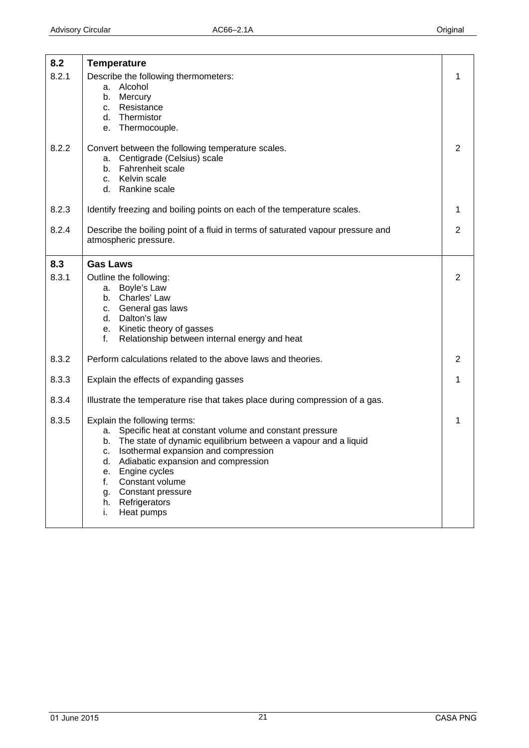<span id="page-20-0"></span>

| 8.2          | <b>Temperature</b>                                                                                                                                                                                                                                                                                                                                                                    |                |
|--------------|---------------------------------------------------------------------------------------------------------------------------------------------------------------------------------------------------------------------------------------------------------------------------------------------------------------------------------------------------------------------------------------|----------------|
| 8.2.1        | Describe the following thermometers:<br>a. Alcohol<br>Mercury<br>b.<br>Resistance<br>C.<br>d. Thermistor<br>Thermocouple.<br>e.                                                                                                                                                                                                                                                       | 1              |
| 8.2.2        | Convert between the following temperature scales.<br>Centigrade (Celsius) scale<br>а.<br>b. Fahrenheit scale<br>c. Kelvin scale<br>d.<br>Rankine scale                                                                                                                                                                                                                                | 2              |
| 8.2.3        | Identify freezing and boiling points on each of the temperature scales.                                                                                                                                                                                                                                                                                                               | 1              |
| 8.2.4        | Describe the boiling point of a fluid in terms of saturated vapour pressure and<br>atmospheric pressure.                                                                                                                                                                                                                                                                              | $\overline{2}$ |
| 8.3<br>8.3.1 | <b>Gas Laws</b><br>Outline the following:<br>Boyle's Law<br>a.<br>Charles' Law<br>b.<br>c. General gas laws<br>d. Dalton's law<br>e. Kinetic theory of gasses<br>f.<br>Relationship between internal energy and heat                                                                                                                                                                  | $\overline{2}$ |
| 8.3.2        | Perform calculations related to the above laws and theories.                                                                                                                                                                                                                                                                                                                          | $\overline{2}$ |
| 8.3.3        | Explain the effects of expanding gasses                                                                                                                                                                                                                                                                                                                                               | 1              |
| 8.3.4        | Illustrate the temperature rise that takes place during compression of a gas.                                                                                                                                                                                                                                                                                                         |                |
| 8.3.5        | Explain the following terms:<br>Specific heat at constant volume and constant pressure<br>a.<br>The state of dynamic equilibrium between a vapour and a liquid<br>b.<br>Isothermal expansion and compression<br>с.<br>d.<br>Adiabatic expansion and compression<br>Engine cycles<br>е.<br>f.<br>Constant volume<br>Constant pressure<br>g.<br>Refrigerators<br>h.<br>Heat pumps<br>i. | 1              |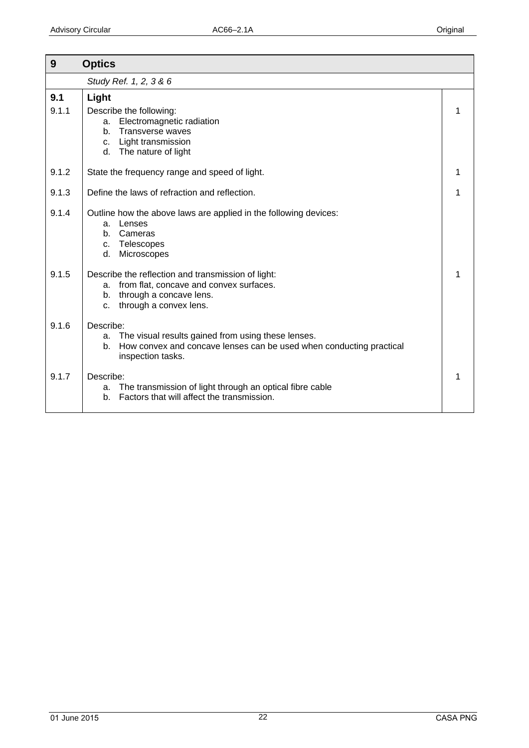<span id="page-21-0"></span>

| 9            | <b>Optics</b>                                                                                                                                                                 |   |
|--------------|-------------------------------------------------------------------------------------------------------------------------------------------------------------------------------|---|
|              | Study Ref. 1, 2, 3 & 6                                                                                                                                                        |   |
| 9.1<br>9.1.1 | Light<br>Describe the following:<br>Electromagnetic radiation<br>a.<br>$h_{-}$<br>Transverse waves<br>c. Light transmission<br>d. The nature of light                         | 1 |
| 9.1.2        | State the frequency range and speed of light.                                                                                                                                 | 1 |
| 9.1.3        | Define the laws of refraction and reflection.                                                                                                                                 | 1 |
| 9.1.4        | Outline how the above laws are applied in the following devices:<br>Lenses<br>a.<br>b. Cameras<br>c. Telescopes<br>d.<br>Microscopes                                          |   |
| 9.1.5        | Describe the reflection and transmission of light:<br>a. from flat, concave and convex surfaces.<br>through a concave lens.<br>b.<br>through a convex lens.<br>C <sub>1</sub> | 1 |
| 9.1.6        | Describe:<br>a. The visual results gained from using these lenses.<br>b. How convex and concave lenses can be used when conducting practical<br>inspection tasks.             |   |
| 9.1.7        | Describe:<br>The transmission of light through an optical fibre cable<br>a.<br>Factors that will affect the transmission.<br>$h_{-}$                                          | 1 |